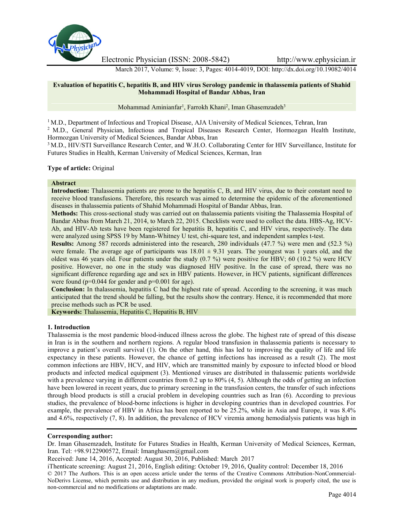

Electronic Physician (ISSN: 2008-5842) http://www.ephysician.ir

March 2017, Volume: 9, Issue: 3, Pages: 4014-4019, DOI: http://dx.doi.org/10.19082/4014

# **Evaluation of hepatitis C, hepatitis B, and HIV virus Serology pandemic in thalassemia patients of Shahid Mohammadi Hospital of Bandar Abbas, Iran**

Mohammad Aminianfar<sup>1</sup>, Farrokh Khani<sup>2</sup>, Iman Ghasemzadeh<sup>3</sup>

<sup>1</sup> M.D., Department of Infectious and Tropical Disease, AJA University of Medical Sciences, Tehran, Iran <sup>2</sup> M.D., General Physician, Infectious and Tropical Diseases Research Center, Hormozgan Health Institute, Hormozgan University of Medical Sciences, Bandar Abbas, Iran

<sup>3</sup> M.D., HIV/STI Surveillance Research Center, and W.H.O. Collaborating Center for HIV Surveillance, Institute for Futures Studies in Health, Kerman University of Medical Sciences, Kerman, Iran

**Type of article:** Original

## **Abstract**

**Introduction:** Thalassemia patients are prone to the hepatitis C, B, and HIV virus, due to their constant need to receive blood transfusions. Therefore, this research was aimed to determine the epidemic of the aforementioned diseases in thalassemia patients of Shahid Mohammadi Hospital of Bandar Abbas, Iran.

**Methods:** This cross-sectional study was carried out on thalassemia patients visiting the Thalassemia Hospital of Bandar Abbas from March 21, 2014, to March 22, 2015. Checklists were used to collect the data. HBS-Ag, HCV- Ab, and HIV-Ab tests have been registered for hepatitis B, hepatitis C, and HIV virus, respectively. The data were analyzed using SPSS 19 by Mann-Whitney U test, chi-square test, and independent samples t-test.

**Results:** Among 587 records administered into the research, 280 individuals (47.7 %) were men and (52.3 %) were female. The average age of participants was  $18.01 \pm 9.31$  years. The youngest was 1 years old, and the oldest was 46 years old. Four patients under the study (0.7 %) were positive for HBV; 60 (10.2 %) were HCV positive. However, no one in the study was diagnosed HIV positive. In the case of spread, there was no significant difference regarding age and sex in HBV patients. However, in HCV patients, significant differences were found ( $p=0.044$  for gender and  $p=0.001$  for age).

**Conclusion:** In thalassemia, hepatitis C had the highest rate of spread. According to the screening, it was much anticipated that the trend should be falling, but the results show the contrary. Hence, it is recommended that more precise methods such as PCR be used.

**Keywords:** Thalassemia, Hepatitis C, Hepatitis B, HIV

# **1. Introduction**

Thalassemia is the most pandemic blood-induced illness across the globe. The highest rate of spread of this disease in Iran is in the southern and northern regions. A regular blood transfusion in thalassemia patients is necessary to improve a patient's overall survival (1). On the other hand, this has led to improving the quality of life and life expectancy in these patients. However, the chance of getting infections has increased as a result (2). The most common infections are HBV, HCV, and HIV, which are transmitted mainly by exposure to infected blood or blood products and infected medical equipment (3). Mentioned viruses are distributed in thalassemic patients worldwide with a prevalence varying in different countries from 0.2 up to 80% (4, 5). Although the odds of getting an infection have been lowered in recent years, due to primary screening in the transfusion centers, the transfer of such infections through blood products is still a crucial problem in developing countries such as Iran (6). According to previous studies, the prevalence of blood-borne infections is higher in developing countries than in developed countries. For example, the prevalence of HBV in Africa has been reported to be 25.2%, while in Asia and Europe, it was 8.4% and 4.6%, respectively (7, 8). In addition, the prevalence of HCV viremia among hemodialysis patients was high in

## **Corresponding author:**

Dr. Iman Ghasemzadeh, Institute for Futures Studies in Health, Kerman University of Medical Sciences, Kerman, Iran. Tel: +98.9122900572, Email: Imanghasem@gmail.com

Received: June 14, 2016, Accepted: August 30, 2016, Published: March 2017

iThenticate screening: August 21, 2016, English editing: October 19, 2016, Quality control: December 18, 2016 © 2017 The Authors. This is an open access article under the terms of the Creative Commons Attribution-NonCommercial- NoDerivs License, which permits use and distribution in any medium, provided the original work is properly cited, the use is non-commercial and no modifications or adaptations are made.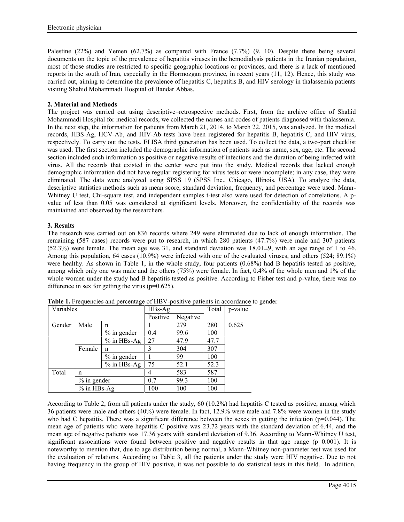Palestine (22%) and Yemen (62.7%) as compared with France (7.7%) (9, 10). Despite there being several documents on the topic of the prevalence of hepatitis viruses in the hemodialysis patients in the Iranian population, most of those studies are restricted to specific geographic locations or provinces, and there is a lack of mentioned reports in the south of Iran, especially in the Hormozgan province, in recent years (11, 12). Hence, this study was carried out, aiming to determine the prevalence of hepatitis C, hepatitis B, and HIV serology in thalassemia patients visiting Shahid Mohammadi Hospital of Bandar Abbas.

# **2. Material and Methods**

The project was carried out using descriptive–retrospective methods. First, from the archive office of Shahid Mohammadi Hospital for medical records, we collected the names and codes of patients diagnosed with thalassemia. In the next step, the information for patients from March 21, 2014, to March 22, 2015, was analyzed. In the medical records, HBS-Ag, HCV-Ab, and HIV-Ab tests have been registered for hepatitis B, hepatitis C, and HIV virus, respectively. To carry out the tests, ELISA third generation has been used. To collect the data, a two-part checklist was used. The first section included the demographic information of patients such as name, sex, age, etc. The second section included such information as positive or negative results of infections and the duration of being infected with virus. All the records that existed in the center were put into the study. Medical records that lacked enough demographic information did not have regular registering for virus tests or were incomplete; in any case, they were eliminated. The data were analyzed using SPSS 19 (SPSS Inc., Chicago, Illinois, USA). To analyze the data, descriptive statistics methods such as mean score, standard deviation, frequency, and percentage were used. Mann- Whitney U test, Chi-square test, and independent samples t-test also were used for detection of correlations. A pvalue of less than 0.05 was considered at significant levels. Moreover, the confidentiality of the records was maintained and observed by the researchers.

# **3. Results**

The research was carried out on 836 records where 249 were eliminated due to lack of enough information. The remaining (587 cases) records were put to research, in which 280 patients (47.7%) were male and 307 patients  $(52.3%)$  were female. The mean age was 31, and standard deviation was  $18.01\pm9$ , with an age range of 1 to 46. Among this population, 64 cases (10.9%) were infected with one of the evaluated viruses, and others (524; 89.1%) were healthy. As shown in Table 1, in the whole study, four patients (0.68%) had B hepatitis tested as positive, among which only one was male and the others (75%) were female. In fact, 0.4% of the whole men and 1% of the whole women under the study had B hepatitis tested as positive. According to Fisher test and p-value, there was no difference in sex for getting the virus (p=0.625).

| Variables |               | $HBs-Ag$      |                | Total    | p-value |       |  |
|-----------|---------------|---------------|----------------|----------|---------|-------|--|
|           |               |               | Positive       | Negative |         |       |  |
| Gender    | Male          | n             |                | 279      | 280     | 0.625 |  |
|           |               | $%$ in gender | 0.4            | 99.6     | 100     |       |  |
|           |               | $%$ in HBs-Ag | 27             | 47.9     | 47.7    |       |  |
|           | Female        | n             | 3              | 304      | 307     |       |  |
|           |               | $%$ in gender |                | 99       | 100     |       |  |
|           |               | $%$ in HBs-Ag | 75             | 52.1     | 52.3    |       |  |
| Total     | n             |               | $\overline{4}$ | 583      | 587     |       |  |
|           | $%$ in gender |               | 0.7            | 99.3     | 100     |       |  |
|           | $%$ in HBs-Ag |               | 100            | 100      | 100     |       |  |

**Table 1.** Frequencies and percentage of HBV-positive patients in accordance to gender

According to Table 2, from all patients under the study, 60 (10.2%) had hepatitis C tested as positive, among which 36 patients were male and others (40%) were female. In fact, 12.9% were male and 7.8% were women in the study who had C hepatitis. There was a significant difference between the sexes in getting the infection ( $p=0.044$ ). The mean age of patients who were hepatitis C positive was 23.72 years with the standard deviation of 6.44, and the mean age of negative patients was 17.36 years with standard deviation of 9.36. According to Mann-Whitney U test, significant associations were found between positive and negative results in that age range ( $p=0.001$ ). It is noteworthy to mention that, due to age distribution being normal, a Mann-Whitney non-parameter test was used for the evaluation of relations. According to Table 3, all the patients under the study were HIV negative. Due to not having frequency in the group of HIV positive, it was not possible to do statistical tests in this field. In addition,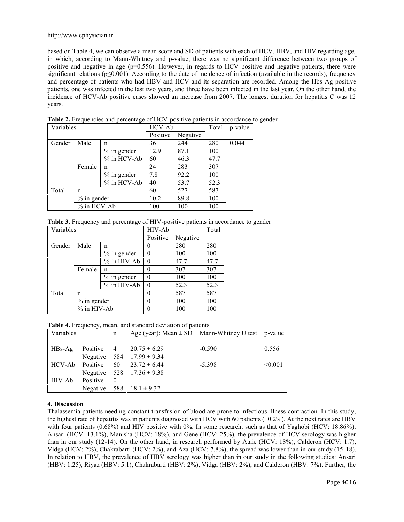based on Table 4, we can observe a mean score and SD of patients with each of HCV, HBV, and HIV regarding age, in which, according to Mann-Whitney and p-value, there was no significant difference between two groups of positive and negative in age  $(p=0.556)$ . However, in regards to HCV positive and negative patients, there were significant relations ( $p \le 0.001$ ). According to the date of incidence of infection (available in the records), frequency and percentage of patients who had HBV and HCV and its separation are recorded. Among the Hbs-Ag positive patients, one was infected in the last two years, and three have been infected in the last year. On the other hand, the incidence of HCV-Ab positive cases showed an increase from 2007. The longest duration for hepatitis C was 12 years.

| Variables |               | HCV-Ab         |          | Total    | p-value |       |
|-----------|---------------|----------------|----------|----------|---------|-------|
|           |               |                | Positive | Negative |         |       |
| Gender    | Male          | n              | 36       | 244      | 280     | 0.044 |
|           |               | $\%$ in gender | 12.9     | 87.1     | 100     |       |
|           |               | % in HCV-Ab    | 60       | 46.3     | 47.7    |       |
|           | Female        | n              | 24       | 283      | 307     |       |
|           |               | $\%$ in gender | 7.8      | 92.2     | 100     |       |
|           |               | % in HCV-Ab    | 40       | 53.7     | 52.3    |       |
| Total     | n             |                | 60       | 527      | 587     |       |
|           | $%$ in gender |                | 10.2     | 89.8     | 100     |       |
|           | $%$ in HCV-Ab |                | 100      | 100      | 100     |       |

**Table 2.** Frequencies and percentage of HCV-positive patients in accordance to gender

|  | <b>Table 3.</b> Frequency and percentage of HIV-positive patients in accordance to gender |  |  |
|--|-------------------------------------------------------------------------------------------|--|--|
|  |                                                                                           |  |  |

| Variables |               |               | HIV-Ab   |          | Total |
|-----------|---------------|---------------|----------|----------|-------|
|           |               |               | Positive | Negative |       |
| Gender    | Male          | n             |          | 280      | 280   |
|           |               | $%$ in gender | $\theta$ | 100      | 100   |
|           |               | % in HIV-Ab   |          | 47.7     | 47.7  |
|           | Female        | n             |          | 307      | 307   |
|           |               | $%$ in gender |          | 100      | 100   |
|           |               | % in HIV-Ab   |          | 52.3     | 52.3  |
| Total     | n             |               |          | 587      | 587   |
|           | $%$ in gender |               |          | 100      | 100   |
|           | $%$ in HIV-Ab |               |          | 100      | 100   |

**Table 4.** Frequency, mean, and standard deviation of patients

| Variables |          | n        | Age (year); Mean $\pm$ SD | Mann-Whitney U test | p-value |
|-----------|----------|----------|---------------------------|---------------------|---------|
|           |          |          |                           |                     |         |
| $HBs-Ag$  | Positive | 4        | $20.75 \pm 6.29$          | $-0.590$            | 0.556   |
|           | Negative | 584      | $17.99 \pm 9.34$          |                     |         |
| HCV-Ab    | Positive | 60       | $23.72 \pm 6.44$          | $-5.398$            | < 0.001 |
|           | Negative | 528      | $17.36 \pm 9.38$          |                     |         |
| HIV-Ab    | Positive | $\theta$ |                           |                     |         |
|           | Negative | 588      | $18.1 \pm 9.32$           |                     |         |

# **4. Discussion**

Thalassemia patients needing constant transfusion of blood are prone to infectious illness contraction. In this study, the highest rate of hepatitis was in patients diagnosed with HCV with 60 patients (10.2%). At the next rates are HBV with four patients (0.68%) and HIV positive with 0%. In some research, such as that of Yaghobi (HCV: 18.86%), Ansari (HCV: 13.1%), Manisha (HCV: 18%), and Gene (HCV: 25%), the prevalence of HCV serology was higher than in our study (12-14). On the other hand, in research performed by Ataie (HCV: 18%), Calderon (HCV: 1.7), Vidga (HCV: 2%), Chakrabarti (HCV: 2%), and Aza (HCV: 7.8%), the spread was lower than in our study (15-18). In relation to HBV, the prevalence of HBV serology was higher than in our study in the following studies: Ansari (HBV: 1.25), Riyaz (HBV: 5.1), Chakrabarti (HBV: 2%), Vidga (HBV: 2%), and Calderon (HBV: 7%). Further, the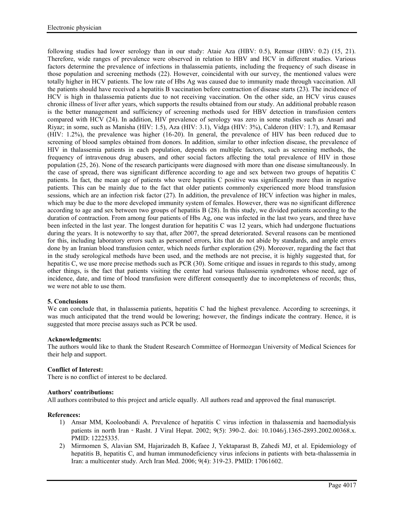following studies had lower serology than in our study: Ataie Aza (HBV: 0.5), Remsar (HBV: 0.2) (15, 21). Therefore, wide ranges of prevalence were observed in relation to HBV and HCV in different studies. Various factors determine the prevalence of infections in thalassemia patients, including the frequency of such disease in those population and screening methods (22). However, coincidental with our survey, the mentioned values were totally higher in HCV patients. The low rate of Hbs Ag was caused due to immunity made through vaccination. All the patients should have received a hepatitis B vaccination before contraction of disease starts (23). The incidence of HCV is high in thalassemia patients due to not receiving vaccination. On the other side, an HCV virus causes chronic illness of liver after years, which supports the results obtained from our study. An additional probable reason is the better management and sufficiency of screening methods used for HBV detection in transfusion centers compared with HCV (24). In addition, HIV prevalence of serology was zero in some studies such as Ansari and Riyaz; in some, such as Manisha (HIV: 1.5), Aza (HIV: 3.1), Vidga (HIV: 3%), Calderon (HIV: 1.7), and Remasar (HIV: 1.2%), the prevalence was higher (16-20). In general, the prevalence of HIV has been reduced due to screening of blood samples obtained from donors. In addition, similar to other infection disease, the prevalence of HIV in thalassemia patients in each population, depends on multiple factors, such as screening methods, the frequency of intravenous drug abusers, and other social factors affecting the total prevalence of HIV in those population (25, 26). None of the research participants were diagnosed with more than one disease simultaneously. In the case of spread, there was significant difference according to age and sex between two groups of hepatitis C patients. In fact, the mean age of patients who were hepatitis C positive was significantly more than in negative patients. This can be mainly due to the fact that older patients commonly experienced more blood transfusion sessions, which are an infection risk factor (27). In addition, the prevalence of HCV infection was higher in males, which may be due to the more developed immunity system of females. However, there was no significant difference according to age and sex between two groups of hepatitis B (28). In this study, we divided patients according to the duration of contraction. From among four patients of Hbs Ag, one was infected in the last two years, and three have been infected in the last year. The longest duration for hepatitis C was 12 years, which had undergone fluctuations during the years. It is noteworthy to say that, after 2007, the spread deteriorated. Several reasons can be mentioned for this, including laboratory errors such as personnel errors, kits that do not abide by standards, and ample errors done by an Iranian blood transfusion center, which needs further exploration (29). Moreover, regarding the fact that in the study serological methods have been used, and the methods are not precise, it is highly suggested that, for hepatitis C, we use more precise methods such as PCR (30). Some critique and issues in regards to this study, among other things, is the fact that patients visiting the center had various thalassemia syndromes whose need, age of incidence, date, and time of blood transfusion were different consequently due to incompleteness of records; thus, we were not able to use them.

# **5. Conclusions**

We can conclude that, in thalassemia patients, hepatitis C had the highest prevalence. According to screenings, it was much anticipated that the trend would be lowering; however, the findings indicate the contrary. Hence, it is suggested that more precise assays such as PCR be used.

### **Acknowledgments:**

The authors would like to thank the Student Research Committee of Hormozgan University of Medical Sciences for their help and support.

## **Conflict of Interest:**

There is no conflict of interest to be declared.

### **Authors' contributions:**

All authors contributed to this project and article equally. All authors read and approved the final manuscript.

### **References:**

- 1) Ansar MM, Kooloobandi A. Prevalence of hepatitis C virus infection in thalassemia and haemodialysis patients in north Iran - Rasht. J Viral Hepat. 2002; 9(5): 390-2. doi: 10.1046/j.1365-2893.2002.00368.x. PMID: 12225335.
- 2) Mirmomen S, Alavian SM, Hajarizadeh B, Kafaee J, Yektaparast B, Zahedi MJ, et al. Epidemiology of hepatitis B, hepatitis C, and human immunodeficiency virus infecions in patients with beta-thalassemia in Iran: a multicenter study. Arch Iran Med. 2006; 9(4): 319-23. PMID: 17061602.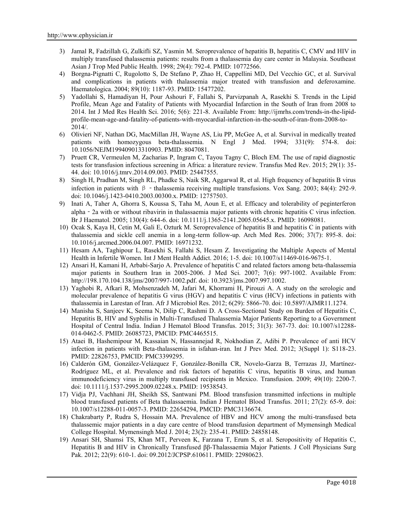- 3) Jamal R, Fadzillah G, Zulkifli SZ, Yasmin M. Seroprevalence of hepatitis B, hepatitis C, CMV and HIV in multiply transfused thalassemia patients: results from a thalassemia day care center in Malaysia. Southeast Asian J Trop Med Public Health. 1998; 29(4): 792-4. PMID: 10772566.
- 4) Borgna-Pignatti C, Rugolotto S, De Stefano P, Zhao H, Cappellini MD, Del Vecchio GC, et al. Survival and complications in patients with thalassemia major treated with transfusion and deferoxamine. Haematologica. 2004; 89(10): 1187-93. PMID: 15477202.
- 5) Yadollahi S, Hamadiyan H, Pour Ashouri F, Fallahi S, Parvizpanah A, Rasekhi S. Trends in the Lipid Profile, Mean Age and Fatality of Patients with Myocardial Infarction in the South of Iran from 2008 to 2014. Int J Med Res Health Sci. 2016; 5(6): 221-8. Available From: http://ijmrhs.com/trends-in-the-lipid profile-mean-age-and-fatality-of-patients-with-myocardial-infarction-in-the-south-of-iran-from-2008-to- 2014/.
- 6) Olivieri NF, Nathan DG, MacMillan JH, Wayne AS, Liu PP, McGee A, et al. Survival in medically treated patients with homozygous beta-thalassemia. N Engl J Med. 1994; 331(9): 574-8. doi: 10.1056/NEJM199409013310903. PMID: 8047081.
- 7) Pruett CR, Vermeulen M, Zacharias P, Ingram C, Tayou Tagny C, Bloch EM. The use of rapid diagnostic tests for transfusion infectious screening in Africa: a literature review. Transfus Med Rev. 2015; 29(1): 35- 44. doi: 10.1016/j.tmrv.2014.09.003. PMID: 25447555.
- 8) Singh H, Pradhan M, Singh RL, Phadke S, Naik SR, Aggarwal R, et al. High frequency of hepatitis B virus infection in patients with β - thalassemia receiving multiple transfusions. Vox Sang. 2003; 84(4): 292-9. doi: 10.1046/j.1423-0410.2003.00300.x. PMID: 12757503.
- 9) Inati A, Taher A, Ghorra S, Koussa S, Taha M, Aoun E, et al. Efficacy and tolerability of peginterferon alpha‐2a with or without ribavirin in thalassaemia major patients with chronic hepatitis C virus infection. Br J Haematol. 2005; 130(4): 644-6. doi: 10.1111/j.1365-2141.2005.05645.x. PMID: 16098081.
- 10) Ocak S, Kaya H, Cetin M, Gali E, Ozturk M. Seroprevalence of hepatitis B and hepatitis C in patients with thalassemia and sickle cell anemia in a long-term follow-up. Arch Med Res. 2006; 37(7): 895-8. doi: 10.1016/j.arcmed.2006.04.007. PMID: 16971232.
- 11) Hesam AA, Taghipour L, Rasekhi S, Fallahi S, Hesam Z. Investigating the Multiple Aspects of Mental Health in Infertile Women. Int J Ment Health Addict. 2016; 1-5. doi: 10.1007/s11469-016-9675-1.
- 12) Ansari H, Kamani H, Arbabi-Sarjo A. Prevalence of hepatitis C and related factors among beta-thalassemia major patients in Southern Iran in 2005-2006. J Med Sci. 2007; 7(6): 997-1002. Available From: http://198.170.104.138/jms/2007/997-1002.pdf. doi: 10.3923/jms.2007.997.1002.
- 13) Yaghobi R, Afkari R, Mohsenzadeh M, Jafari M, Khorrami H, Pirouzi A. A study on the serologic and molecular prevalence of hepatitis G virus (HGV) and hepatitis C virus (HCV) infections in patients with thalassemia in Larestan of Iran. Afr J Microbiol Res. 2012; 6(29): 5866-70. doi: 10.5897/AJMR11.1274.
- 14) Manisha S, Sanjeev K, Seema N, Dilip C, Rashmi D. A Cross-Sectional Study on Burden of Hepatitis C, Hepatitis B, HIV and Syphilis in Multi-Transfused Thalassemia Major Patients Reporting to a Government Hospital of Central India. Indian J Hematol Blood Transfus. 2015; 31(3): 367-73. doi: 10.1007/s12288- 014-0462-5. PMID: 26085723, PMCID: PMC4465515.
- 15) Ataei B, Hashemipour M, Kassaian N, Hassannejad R, Nokhodian Z, Adibi P. Prevalence of anti HCV infection in patients with Beta-thalassemia in isfahan-iran. Int J Prev Med. 2012; 3(Suppl 1): S118-23. PMID: 22826753, PMCID: PMC3399295.
- 16) Calderón GM, González-Velázquez F, González-Bonilla CR, Novelo-Garza B, Terrazas JJ, Martínez- Rodríguez ML, et al. Prevalence and risk factors of hepatitis C virus, hepatitis B virus, and human immunodeficiency virus in multiply transfused recipients in Mexico. Transfusion. 2009; 49(10): 2200-7. doi: 10.1111/j.1537-2995.2009.02248.x. PMID: 19538543.
- 17) Vidja PJ, Vachhani JH, Sheikh SS, Santwani PM. Blood transfusion transmitted infections in multiple blood transfused patients of Beta thalassaemia. Indian J Hematol Blood Transfus. 2011; 27(2): 65-9. doi: 10.1007/s12288-011-0057-3. PMID: 22654294, PMCID: PMC3136674.
- 18) Chakrabarty P, Rudra S, Hossain MA. Prevalence of HBV and HCV among the multi-transfused beta thalassemic major patients in a day care centre of blood transfusion department of Mymensingh Medical College Hospital. Mymensingh Med J. 2014; 23(2): 235-41. PMID: 24858148.
- 19) Ansari SH, Shamsi TS, Khan MT, Perveen K, Farzana T, Erum S, et al. Seropositivity of Hepatitis C, Hepatitis B and HIV in Chronically Transfused ββ-Thalassaemia Major Patients. J Coll Physicians Surg Pak. 2012; 22(9): 610-1. doi: 09.2012/JCPSP.610611. PMID: 22980623.